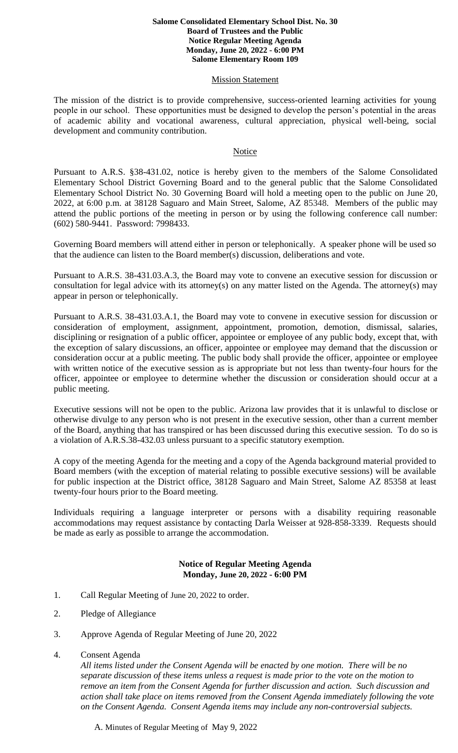#### **Salome Consolidated Elementary School Dist. No. 30 Board of Trustees and the Public Notice Regular Meeting Agenda Monday, June 20, 2022 - 6:00 PM Salome Elementary Room 109**

### **Mission Statement**

The mission of the district is to provide comprehensive, success-oriented learning activities for young people in our school. These opportunities must be designed to develop the person's potential in the areas of academic ability and vocational awareness, cultural appreciation, physical well-being, social development and community contribution.

## Notice

Pursuant to A.R.S. §38-431.02, notice is hereby given to the members of the Salome Consolidated Elementary School District Governing Board and to the general public that the Salome Consolidated Elementary School District No. 30 Governing Board will hold a meeting open to the public on June 20, 2022, at 6:00 p.m. at 38128 Saguaro and Main Street, Salome, AZ 85348. Members of the public may attend the public portions of the meeting in person or by using the following conference call number: (602) 580-9441. Password: 7998433.

Governing Board members will attend either in person or telephonically. A speaker phone will be used so that the audience can listen to the Board member(s) discussion, deliberations and vote.

Pursuant to A.R.S. 38-431.03.A.3, the Board may vote to convene an executive session for discussion or consultation for legal advice with its attorney(s) on any matter listed on the Agenda. The attorney(s) may appear in person or telephonically.

Pursuant to A.R.S. 38-431.03.A.1, the Board may vote to convene in executive session for discussion or consideration of employment, assignment, appointment, promotion, demotion, dismissal, salaries, disciplining or resignation of a public officer, appointee or employee of any public body, except that, with the exception of salary discussions, an officer, appointee or employee may demand that the discussion or consideration occur at a public meeting. The public body shall provide the officer, appointee or employee with written notice of the executive session as is appropriate but not less than twenty-four hours for the officer, appointee or employee to determine whether the discussion or consideration should occur at a public meeting.

Executive sessions will not be open to the public. Arizona law provides that it is unlawful to disclose or otherwise divulge to any person who is not present in the executive session, other than a current member of the Board, anything that has transpired or has been discussed during this executive session. To do so is a violation of A.R.S.38-432.03 unless pursuant to a specific statutory exemption.

A copy of the meeting Agenda for the meeting and a copy of the Agenda background material provided to Board members (with the exception of material relating to possible executive sessions) will be available for public inspection at the District office, 38128 Saguaro and Main Street, Salome AZ 85358 at least twenty-four hours prior to the Board meeting.

Individuals requiring a language interpreter or persons with a disability requiring reasonable accommodations may request assistance by contacting Darla Weisser at 928-858-3339. Requests should be made as early as possible to arrange the accommodation.

# **Notice of Regular Meeting Agenda Monday, June 20, 2022 - 6:00 PM**

- 1. Call Regular Meeting of June 20, 2022 to order.
- 2. Pledge of Allegiance
- 3. Approve Agenda of Regular Meeting of June 20, 2022
- 4. Consent Agenda

*All items listed under the Consent Agenda will be enacted by one motion. There will be no separate discussion of these items unless a request is made prior to the vote on the motion to remove an item from the Consent Agenda for further discussion and action. Such discussion and action shall take place on items removed from the Consent Agenda immediately following the vote on the Consent Agenda. Consent Agenda items may include any non-controversial subjects.*

A. Minutes of Regular Meeting of May 9, 2022